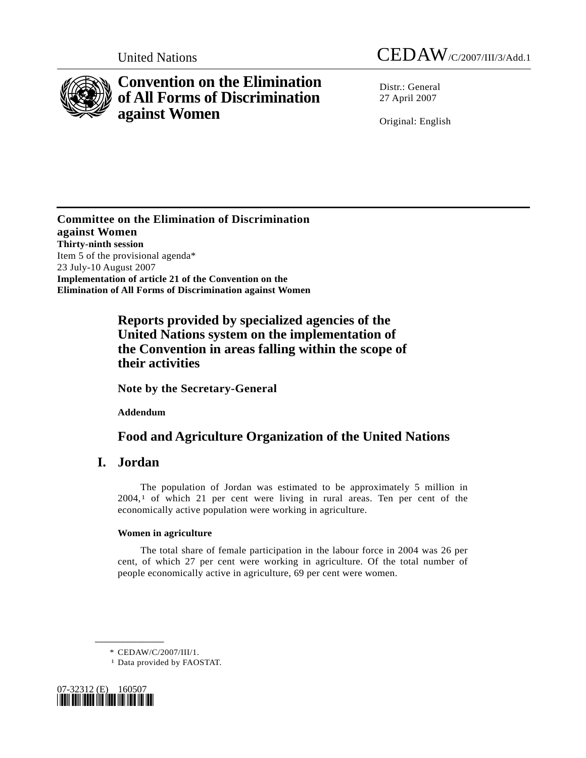

<span id="page-0-1"></span>

# **Convention on the Elimination of All Forms of Discrimination against Women**

 $Distr: General$ 27 April 2007

Original: English

**Committee on the Elimination of Discrimination against Women Thirty-ninth session**  Item 5 of the provisional agenda\* 23 July-10 August 2007 **Implementation of article 21 of the Convention on the Elimination of All Forms of Discrimination against Women** 

## **Reports provided by specialized agencies of the United Nations system on the implementation of the Convention in areas falling within the scope of their activities**

 **Note by the Secretary-General** 

 **Addendum** 

## **Food and Agriculture Organization of the United Nations**

## **I. Jordan**

 The population of Jordan was estimated to be approximately 5 million in  $2004$ ,<sup>1</sup> of which 2[1](#page-0-0) per cent were living in rural areas. Ten per cent of the economically active population were working in agriculture.

### **Women in agriculture**

 The total share of female participation in the labour force in 2004 was 26 per cent, of which 27 per cent were working in agriculture. Of the total number of people economically active in agriculture, 69 per cent were women.

**\_\_\_\_\_\_\_\_\_\_\_\_\_\_\_\_\_\_** 

\* CEDAW/C/2007/III/1. 1 Data provided by FAOSTAT.

<span id="page-0-0"></span>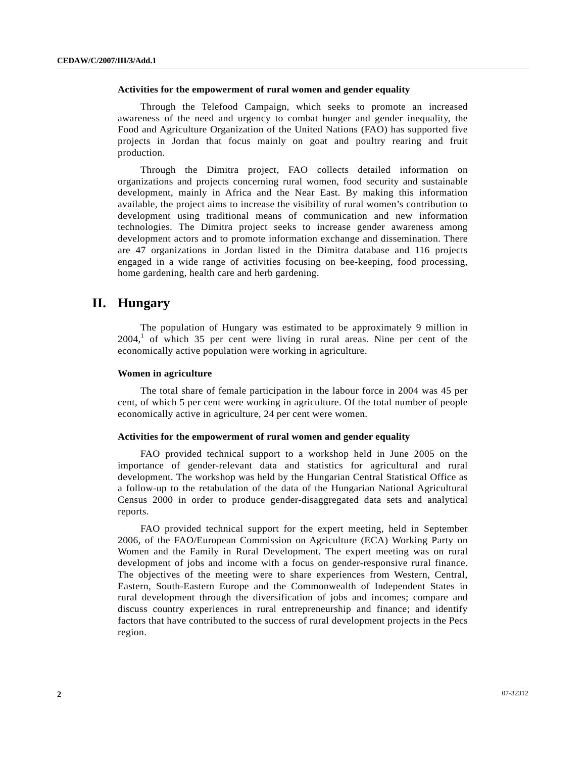#### **Activities for the empowerment of rural women and gender equality**

 Through the Telefood Campaign, which seeks to promote an increased awareness of the need and urgency to combat hunger and gender inequality, the Food and Agriculture Organization of the United Nations (FAO) has supported five projects in Jordan that focus mainly on goat and poultry rearing and fruit production.

 Through the Dimitra project, FAO collects detailed information on organizations and projects concerning rural women, food security and sustainable development, mainly in Africa and the Near East. By making this information available, the project aims to increase the visibility of rural women's contribution to development using traditional means of communication and new information technologies. The Dimitra project seeks to increase gender awareness among development actors and to promote information exchange and dissemination. There are 47 organizations in Jordan listed in the Dimitra database and 116 projects engaged in a wide range of activities focusing on bee-keeping, food processing, home gardening, health care and herb gardening.

## **II. Hungary**

 The population of Hungary was estimated to be approximately 9 million in  $2004$ ,<sup>1</sup> of which 35 per cent were living in rural areas. Nine per cent of the economically active population were working in agriculture.

#### **Women in agriculture**

 The total share of female participation in the labour force in 2004 was 45 per cent, of which 5 per cent were working in agriculture. Of the total number of people economically active in agriculture, 24 per cent were women.

#### **Activities for the empowerment of rural women and gender equality**

 FAO provided technical support to a workshop held in June 2005 on the importance of gender-relevant data and statistics for agricultural and rural development. The workshop was held by the Hungarian Central Statistical Office as a follow-up to the retabulation of the data of the Hungarian National Agricultural Census 2000 in order to produce gender-disaggregated data sets and analytical reports.

 FAO provided technical support for the expert meeting, held in September 2006, of the FAO/European Commission on Agriculture (ECA) Working Party on Women and the Family in Rural Development. The expert meeting was on rural development of jobs and income with a focus on gender-responsive rural finance. The objectives of the meeting were to share experiences from Western, Central, Eastern, South-Eastern Europe and the Commonwealth of Independent States in rural development through the diversification of jobs and incomes; compare and discuss country experiences in rural entrepreneurship and finance; and identify factors that have contributed to the success of rural development projects in the Pecs region.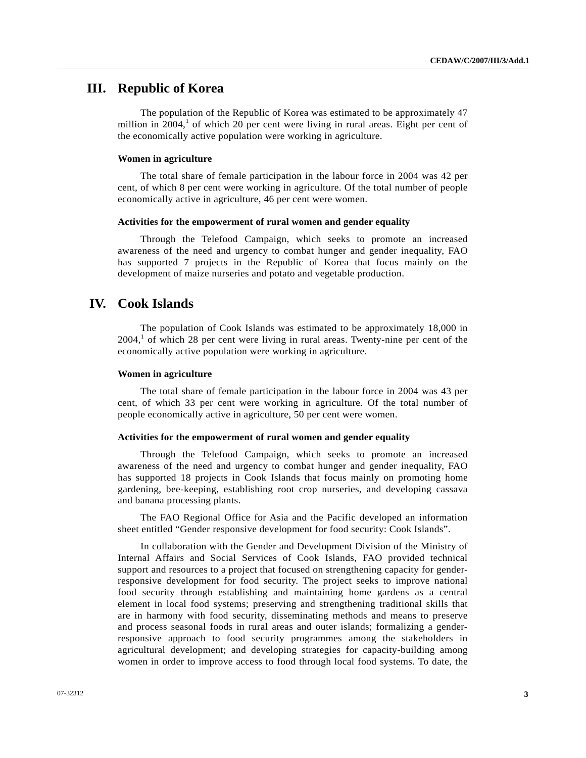### **III. Republic of Korea**

 The population of the Republic of Korea was estimated to be approximately 47 million in  $2004$ ,<sup>1</sup> of which 20 per cent were living in rural areas. Eight per cent of the economically active population were working in agriculture.

#### **Women in agriculture**

 The total share of female participation in the labour force in 2004 was 42 per cent, of which 8 per cent were working in agriculture. Of the total number of people economically active in agriculture, 46 per cent were women.

#### **Activities for the empowerment of rural women and gender equality**

 Through the Telefood Campaign, which seeks to promote an increased awareness of the need and urgency to combat hunger and gender inequality, FAO has supported 7 projects in the Republic of Korea that focus mainly on the development of maize nurseries and potato and vegetable production.

### **IV. Cook Islands**

 The population of Cook Islands was estimated to be approximately 18,000 in  $2004$ ,<sup>1</sup> of which 28 per cent were living in rural areas. Twenty-nine per cent of the economically active population were working in agriculture.

#### **Women in agriculture**

 The total share of female participation in the labour force in 2004 was 43 per cent, of which 33 per cent were working in agriculture. Of the total number of people economically active in agriculture, 50 per cent were women.

#### **Activities for the empowerment of rural women and gender equality**

 Through the Telefood Campaign, which seeks to promote an increased awareness of the need and urgency to combat hunger and gender inequality, FAO has supported 18 projects in Cook Islands that focus mainly on promoting home gardening, bee-keeping, establishing root crop nurseries, and developing cassava and banana processing plants.

 The FAO Regional Office for Asia and the Pacific developed an information sheet entitled "Gender responsive development for food security: Cook Islands".

 In collaboration with the Gender and Development Division of the Ministry of Internal Affairs and Social Services of Cook Islands, FAO provided technical support and resources to a project that focused on strengthening capacity for genderresponsive development for food security. The project seeks to improve national food security through establishing and maintaining home gardens as a central element in local food systems; preserving and strengthening traditional skills that are in harmony with food security, disseminating methods and means to preserve and process seasonal foods in rural areas and outer islands; formalizing a genderresponsive approach to food security programmes among the stakeholders in agricultural development; and developing strategies for capacity-building among women in order to improve access to food through local food systems. To date, the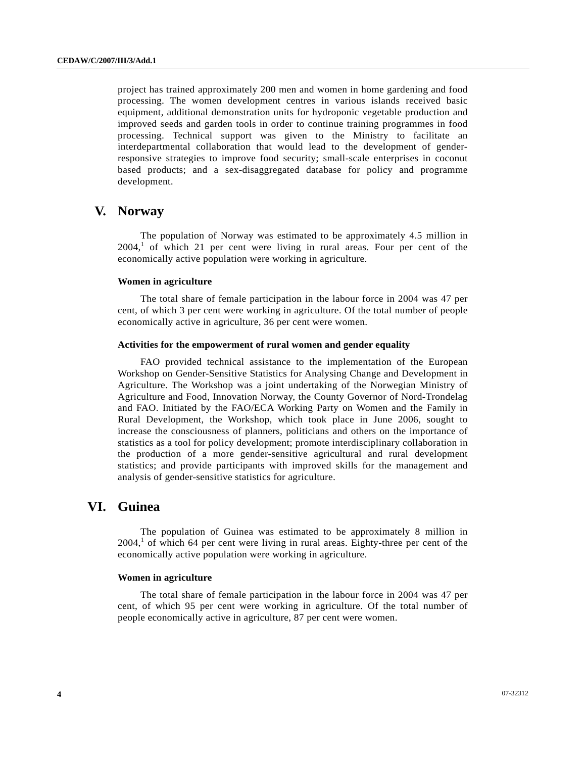project has trained approximately 200 men and women in home gardening and food processing. The women development centres in various islands received basic equipment, additional demonstration units for hydroponic vegetable production and improved seeds and garden tools in order to continue training programmes in food processing. Technical support was given to the Ministry to facilitate an interdepartmental collaboration that would lead to the development of genderresponsive strategies to improve food security; small-scale enterprises in coconut based products; and a sex-disaggregated database for policy and programme development.

### **V. Norway**

 The population of Norway was estimated to be approximately 4.5 million in  $2004$ ,<sup>[1](#page-0-1)</sup> of which 21 per cent were living in rural areas. Four per cent of the economically active population were working in agriculture.

#### **Women in agriculture**

 The total share of female participation in the labour force in 2004 was 47 per cent, of which 3 per cent were working in agriculture. Of the total number of people economically active in agriculture, 36 per cent were women.

#### **Activities for the empowerment of rural women and gender equality**

 FAO provided technical assistance to the implementation of the European Workshop on Gender-Sensitive Statistics for Analysing Change and Development in Agriculture. The Workshop was a joint undertaking of the Norwegian Ministry of Agriculture and Food, Innovation Norway, the County Governor of Nord-Trondelag and FAO. Initiated by the FAO/ECA Working Party on Women and the Family in Rural Development, the Workshop, which took place in June 2006, sought to increase the consciousness of planners, politicians and others on the importance of statistics as a tool for policy development; promote interdisciplinary collaboration in the production of a more gender-sensitive agricultural and rural development statistics; and provide participants with improved skills for the management and analysis of gender-sensitive statistics for agriculture.

## **VI. Guinea**

 The population of Guinea was estimated to be approximately 8 million in  $2004$ ,<sup>[1](#page-0-1)</sup> of which 64 per cent were living in rural areas. Eighty-three per cent of the economically active population were working in agriculture.

#### **Women in agriculture**

 The total share of female participation in the labour force in 2004 was 47 per cent, of which 95 per cent were working in agriculture. Of the total number of people economically active in agriculture, 87 per cent were women.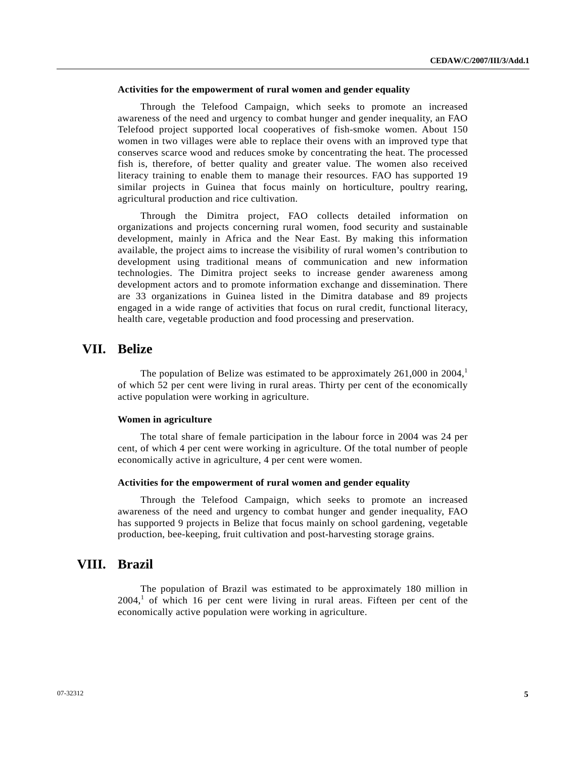#### **Activities for the empowerment of rural women and gender equality**

 Through the Telefood Campaign, which seeks to promote an increased awareness of the need and urgency to combat hunger and gender inequality, an FAO Telefood project supported local cooperatives of fish-smoke women. About 150 women in two villages were able to replace their ovens with an improved type that conserves scarce wood and reduces smoke by concentrating the heat. The processed fish is, therefore, of better quality and greater value. The women also received literacy training to enable them to manage their resources. FAO has supported 19 similar projects in Guinea that focus mainly on horticulture, poultry rearing, agricultural production and rice cultivation.

 Through the Dimitra project, FAO collects detailed information on organizations and projects concerning rural women, food security and sustainable development, mainly in Africa and the Near East. By making this information available, the project aims to increase the visibility of rural women's contribution to development using traditional means of communication and new information technologies. The Dimitra project seeks to increase gender awareness among development actors and to promote information exchange and dissemination. There are 33 organizations in Guinea listed in the Dimitra database and 89 projects engaged in a wide range of activities that focus on rural credit, functional literacy, health care, vegetable production and food processing and preservation.

## **VII. Belize**

The population of Belize was estimated to be approximately  $261,000$  $261,000$  $261,000$  in  $2004$ ,<sup>1</sup> of which 52 per cent were living in rural areas. Thirty per cent of the economically active population were working in agriculture.

#### **Women in agriculture**

 The total share of female participation in the labour force in 2004 was 24 per cent, of which 4 per cent were working in agriculture. Of the total number of people economically active in agriculture, 4 per cent were women.

#### **Activities for the empowerment of rural women and gender equality**

 Through the Telefood Campaign, which seeks to promote an increased awareness of the need and urgency to combat hunger and gender inequality, FAO has supported 9 projects in Belize that focus mainly on school gardening, vegetable production, bee-keeping, fruit cultivation and post-harvesting storage grains.

### **VIII. Brazil**

 The population of Brazil was estimated to be approximately 180 million in  $2004$ ,<sup>[1](#page-0-1)</sup> of which 16 per cent were living in rural areas. Fifteen per cent of the economically active population were working in agriculture.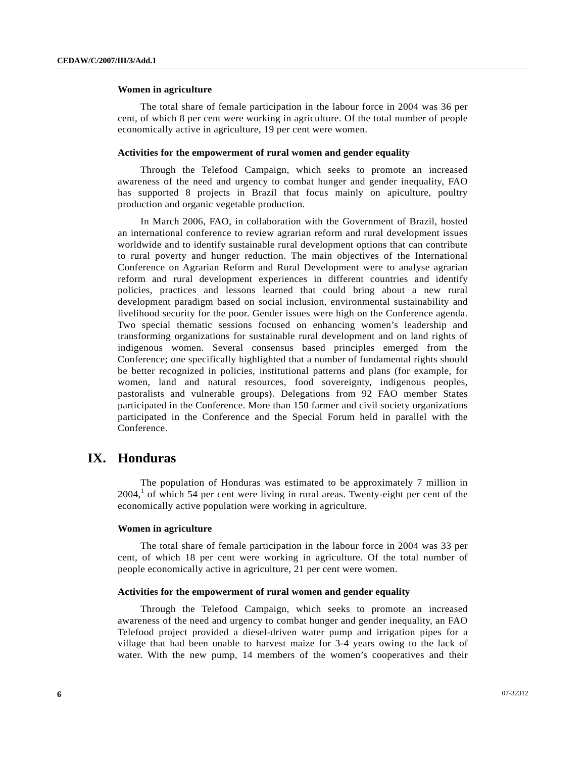#### **Women in agriculture**

 The total share of female participation in the labour force in 2004 was 36 per cent, of which 8 per cent were working in agriculture. Of the total number of people economically active in agriculture, 19 per cent were women.

#### **Activities for the empowerment of rural women and gender equality**

 Through the Telefood Campaign, which seeks to promote an increased awareness of the need and urgency to combat hunger and gender inequality, FAO has supported 8 projects in Brazil that focus mainly on apiculture, poultry production and organic vegetable production.

 In March 2006, FAO, in collaboration with the Government of Brazil, hosted an international conference to review agrarian reform and rural development issues worldwide and to identify sustainable rural development options that can contribute to rural poverty and hunger reduction. The main objectives of the International Conference on Agrarian Reform and Rural Development were to analyse agrarian reform and rural development experiences in different countries and identify policies, practices and lessons learned that could bring about a new rural development paradigm based on social inclusion, environmental sustainability and livelihood security for the poor. Gender issues were high on the Conference agenda. Two special thematic sessions focused on enhancing women's leadership and transforming organizations for sustainable rural development and on land rights of indigenous women. Several consensus based principles emerged from the Conference; one specifically highlighted that a number of fundamental rights should be better recognized in policies, institutional patterns and plans (for example, for women, land and natural resources, food sovereignty, indigenous peoples, pastoralists and vulnerable groups). Delegations from 92 FAO member States participated in the Conference. More than 150 farmer and civil society organizations participated in the Conference and the Special Forum held in parallel with the Conference.

## **IX. Honduras**

 The population of Honduras was estimated to be approximately 7 million in  $2004$ ,<sup>[1](#page-0-1)</sup> of which 54 per cent were living in rural areas. Twenty-eight per cent of the economically active population were working in agriculture.

#### **Women in agriculture**

 The total share of female participation in the labour force in 2004 was 33 per cent, of which 18 per cent were working in agriculture. Of the total number of people economically active in agriculture, 21 per cent were women.

#### **Activities for the empowerment of rural women and gender equality**

 Through the Telefood Campaign, which seeks to promote an increased awareness of the need and urgency to combat hunger and gender inequality, an FAO Telefood project provided a diesel-driven water pump and irrigation pipes for a village that had been unable to harvest maize for 3-4 years owing to the lack of water. With the new pump, 14 members of the women's cooperatives and their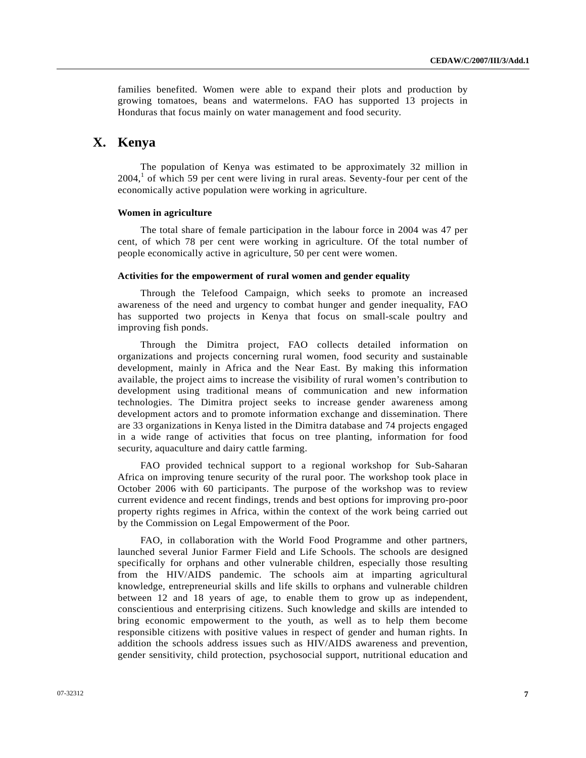families benefited. Women were able to expand their plots and production by growing tomatoes, beans and watermelons. FAO has supported 13 projects in Honduras that focus mainly on water management and food security.

## **X. Kenya**

 The population of Kenya was estimated to be approximately 32 million in  $2004<sup>1</sup>$  $2004<sup>1</sup>$  $2004<sup>1</sup>$  of which 59 per cent were living in rural areas. Seventy-four per cent of the economically active population were working in agriculture.

#### **Women in agriculture**

 The total share of female participation in the labour force in 2004 was 47 per cent, of which 78 per cent were working in agriculture. Of the total number of people economically active in agriculture, 50 per cent were women.

#### **Activities for the empowerment of rural women and gender equality**

 Through the Telefood Campaign, which seeks to promote an increased awareness of the need and urgency to combat hunger and gender inequality, FAO has supported two projects in Kenya that focus on small-scale poultry and improving fish ponds.

 Through the Dimitra project, FAO collects detailed information on organizations and projects concerning rural women, food security and sustainable development, mainly in Africa and the Near East. By making this information available, the project aims to increase the visibility of rural women's contribution to development using traditional means of communication and new information technologies. The Dimitra project seeks to increase gender awareness among development actors and to promote information exchange and dissemination. There are 33 organizations in Kenya listed in the Dimitra database and 74 projects engaged in a wide range of activities that focus on tree planting, information for food security, aquaculture and dairy cattle farming.

 FAO provided technical support to a regional workshop for Sub-Saharan Africa on improving tenure security of the rural poor. The workshop took place in October 2006 with 60 participants. The purpose of the workshop was to review current evidence and recent findings, trends and best options for improving pro-poor property rights regimes in Africa, within the context of the work being carried out by the Commission on Legal Empowerment of the Poor.

 FAO, in collaboration with the World Food Programme and other partners, launched several Junior Farmer Field and Life Schools. The schools are designed specifically for orphans and other vulnerable children, especially those resulting from the HIV/AIDS pandemic. The schools aim at imparting agricultural knowledge, entrepreneurial skills and life skills to orphans and vulnerable children between 12 and 18 years of age, to enable them to grow up as independent, conscientious and enterprising citizens. Such knowledge and skills are intended to bring economic empowerment to the youth, as well as to help them become responsible citizens with positive values in respect of gender and human rights. In addition the schools address issues such as HIV/AIDS awareness and prevention, gender sensitivity, child protection, psychosocial support, nutritional education and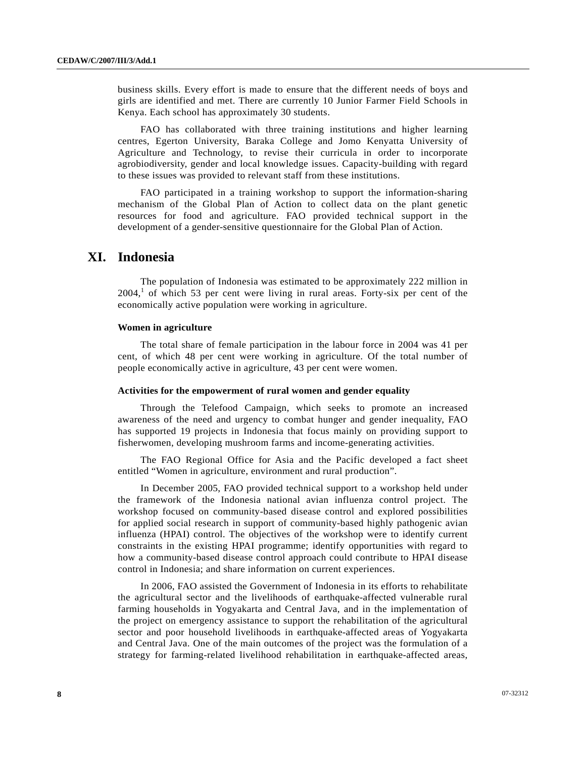business skills. Every effort is made to ensure that the different needs of boys and girls are identified and met. There are currently 10 Junior Farmer Field Schools in Kenya. Each school has approximately 30 students.

 FAO has collaborated with three training institutions and higher learning centres, Egerton University, Baraka College and Jomo Kenyatta University of Agriculture and Technology, to revise their curricula in order to incorporate agrobiodiversity, gender and local knowledge issues. Capacity-building with regard to these issues was provided to relevant staff from these institutions.

 FAO participated in a training workshop to support the information-sharing mechanism of the Global Plan of Action to collect data on the plant genetic resources for food and agriculture. FAO provided technical support in the development of a gender-sensitive questionnaire for the Global Plan of Action.

## **XI. Indonesia**

 The population of Indonesia was estimated to be approximately 222 million in  $2004$ ,<sup>[1](#page-0-1)</sup> of which 53 per cent were living in rural areas. Forty-six per cent of the economically active population were working in agriculture.

#### **Women in agriculture**

 The total share of female participation in the labour force in 2004 was 41 per cent, of which 48 per cent were working in agriculture. Of the total number of people economically active in agriculture, 43 per cent were women.

#### **Activities for the empowerment of rural women and gender equality**

 Through the Telefood Campaign, which seeks to promote an increased awareness of the need and urgency to combat hunger and gender inequality, FAO has supported 19 projects in Indonesia that focus mainly on providing support to fisherwomen, developing mushroom farms and income-generating activities.

 The FAO Regional Office for Asia and the Pacific developed a fact sheet entitled "Women in agriculture, environment and rural production".

 In December 2005, FAO provided technical support to a workshop held under the framework of the Indonesia national avian influenza control project. The workshop focused on community-based disease control and explored possibilities for applied social research in support of community-based highly pathogenic avian influenza (HPAI) control. The objectives of the workshop were to identify current constraints in the existing HPAI programme; identify opportunities with regard to how a community-based disease control approach could contribute to HPAI disease control in Indonesia; and share information on current experiences.

 In 2006, FAO assisted the Government of Indonesia in its efforts to rehabilitate the agricultural sector and the livelihoods of earthquake-affected vulnerable rural farming households in Yogyakarta and Central Java, and in the implementation of the project on emergency assistance to support the rehabilitation of the agricultural sector and poor household livelihoods in earthquake-affected areas of Yogyakarta and Central Java. One of the main outcomes of the project was the formulation of a strategy for farming-related livelihood rehabilitation in earthquake-affected areas,